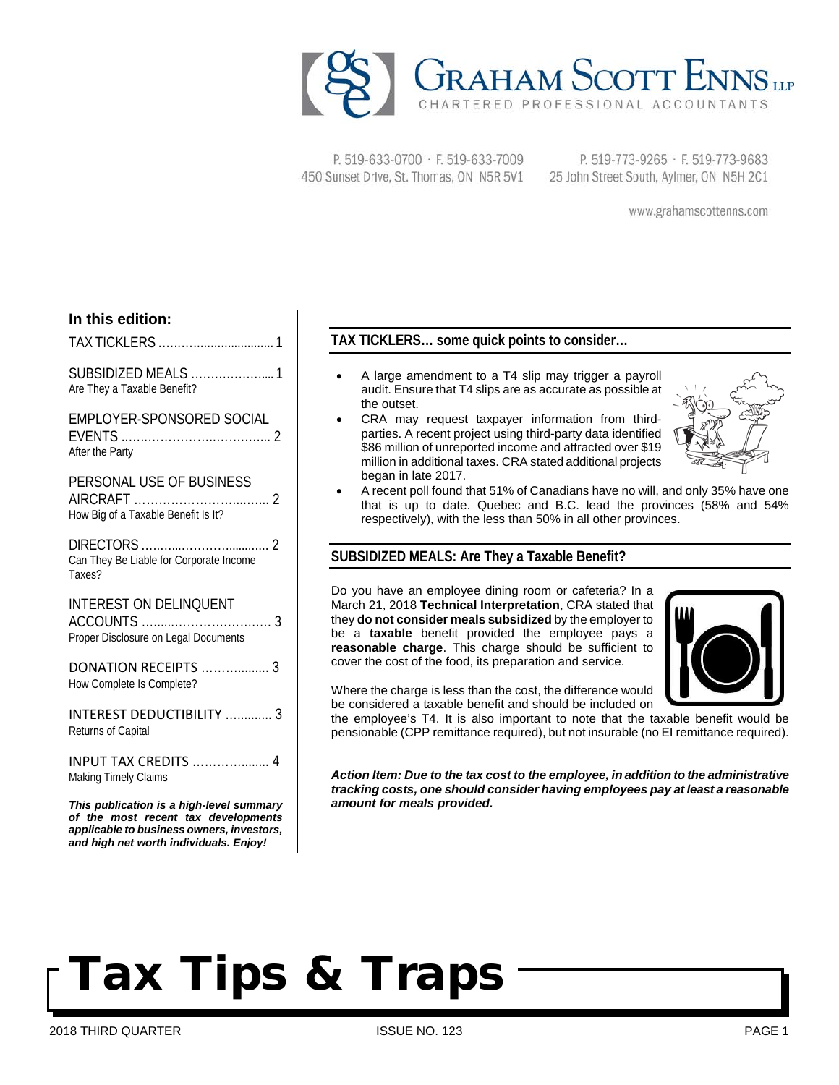

P. 519-633-0700 · F. 519-633-7009 450 Sunset Drive, St. Thomas, ON N5R 5V1

P. 519-773-9265 · F. 519-773-9683 25 John Street South, Aylmer, ON N5H 2C1

www.grahamscottenns.com

## **In this edition:**

TAX TICKLERS .…..…........................ 1

SUBSIDIZED MEALS ……………….... 1 Are They a Taxable Benefit?

### EMPLOYER-SPONSORED SOCIAL

| After the Party |  |
|-----------------|--|

| PERSONAL USE OF BUSINESS |  |
|--------------------------|--|
| <b>AIDCDAET</b>          |  |

| How Big of a Taxable Benefit Is It? |  |
|-------------------------------------|--|

DIRECTORS .….…...…………............ 2 Can They Be Liable for Corporate Income Taxes?

INTEREST ON DELINQUENT

| Proper Disclosure on Legal Documents |  |
|--------------------------------------|--|

| DONATION RECEIPTS  3      |  |
|---------------------------|--|
| How Complete Is Complete? |  |

INTEREST DEDUCTIBILITY ….......... 3 Returns of Capital

INPUT TAX CREDITS …………........ 4 Making Timely Claims

*This publication is a high-level summary of the most recent tax developments applicable to business owners, investors, and high net worth individuals. Enjoy!*

## **TAX TICKLERS… some quick points to consider…**

- A large amendment to a T4 slip may trigger a payroll audit. Ensure that T4 slips are as accurate as possible at the outset.
- CRA may request taxpayer information from thirdparties. A recent project using third-party data identified \$86 million of unreported income and attracted over \$19 million in additional taxes. CRA stated additional projects began in late 2017.



• A recent poll found that 51% of Canadians have no will, and only 35% have one that is up to date. Quebec and B.C. lead the provinces (58% and 54% respectively), with the less than 50% in all other provinces.

## **SUBSIDIZED MEALS: Are They a Taxable Benefit?**

Do you have an employee dining room or cafeteria? In a March 21, 2018 **Technical Interpretation**, CRA stated that they **do not consider meals subsidized** by the employer to be a **taxable** benefit provided the employee pays a **reasonable charge**. This charge should be sufficient to cover the cost of the food, its preparation and service.



Where the charge is less than the cost, the difference would be considered a taxable benefit and should be included on

the employee's T4. It is also important to note that the taxable benefit would be pensionable (CPP remittance required), but not insurable (no EI remittance required).

*Action Item: Due to the tax cost to the employee, in addition to the administrative tracking costs, one should consider having employees pay at least a reasonable amount for meals provided.*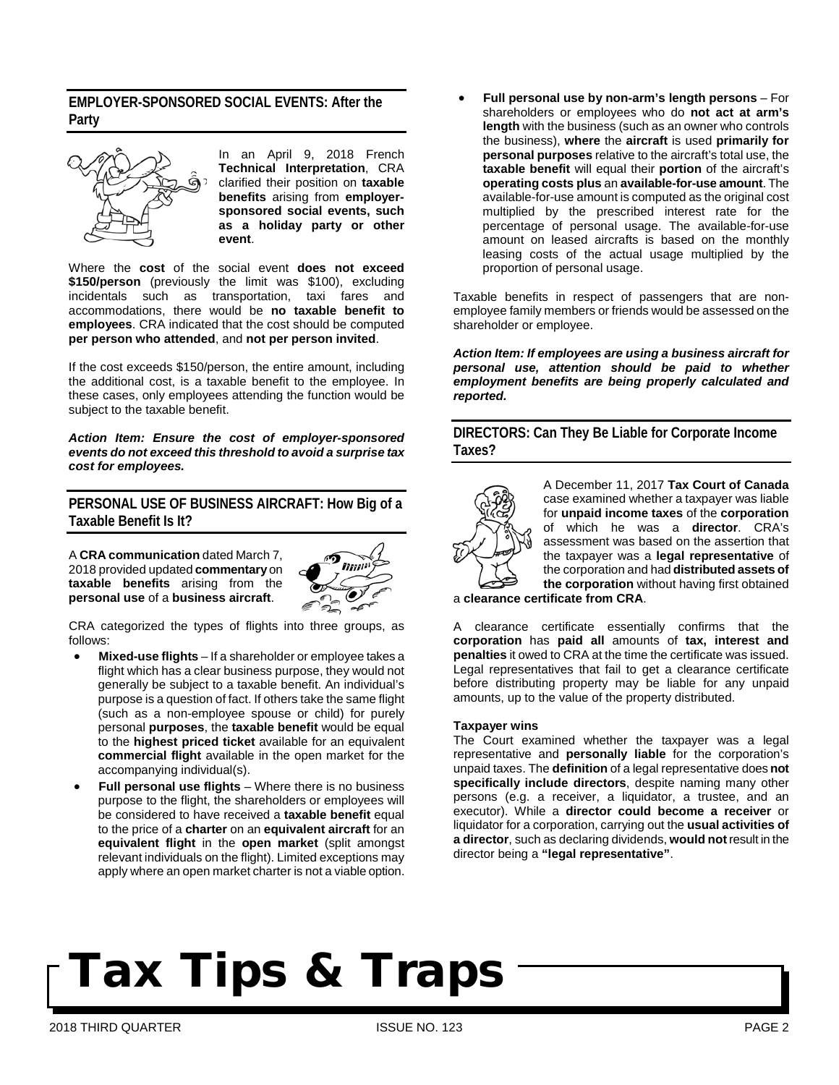## **EMPLOYER-SPONSORED SOCIAL EVENTS: After the Party**



In an April 9, 2018 French **Technical Interpretation**, CRA clarified their position on **taxable benefits** arising from **employersponsored social events, such as a holiday party or other event**.

Where the **cost** of the social event **does not exceed \$150/person** (previously the limit was \$100), excluding incidentals such as transportation, taxi fares and accommodations, there would be **no taxable benefit to employees**. CRA indicated that the cost should be computed **per person who attended**, and **not per person invited**.

If the cost exceeds \$150/person, the entire amount, including the additional cost, is a taxable benefit to the employee. In these cases, only employees attending the function would be subject to the taxable benefit.

*Action Item: Ensure the cost of employer-sponsored events do not exceed this threshold to avoid a surprise tax cost for employees.*

## **PERSONAL USE OF BUSINESS AIRCRAFT: How Big of a Taxable Benefit Is It?**

A **CRA communication** dated March 7, 2018 provided updated **commentary** on **taxable benefits** arising from the **personal use** of a **business aircraft**.



CRA categorized the types of flights into three groups, as follows:

- **Mixed-use flights** If a shareholder or employee takes a flight which has a clear business purpose, they would not generally be subject to a taxable benefit. An individual's purpose is a question of fact. If others take the same flight (such as a non-employee spouse or child) for purely personal **purposes**, the **taxable benefit** would be equal to the **highest priced ticket** available for an equivalent **commercial flight** available in the open market for the accompanying individual(s).
- **Full personal use flights** Where there is no business purpose to the flight, the shareholders or employees will be considered to have received a **taxable benefit** equal to the price of a **charter** on an **equivalent aircraft** for an **equivalent flight** in the **open market** (split amongst relevant individuals on the flight). Limited exceptions may apply where an open market charter is not a viable option.

• **Full personal use by non-arm's length persons** – For shareholders or employees who do **not act at arm's length** with the business (such as an owner who controls the business), **where** the **aircraft** is used **primarily for personal purposes** relative to the aircraft's total use, the **taxable benefit** will equal their **portion** of the aircraft's **operating costs plus** an **available-for-use amount**. The available-for-use amount is computed as the original cost multiplied by the prescribed interest rate for the percentage of personal usage. The available-for-use amount on leased aircrafts is based on the monthly leasing costs of the actual usage multiplied by the proportion of personal usage.

Taxable benefits in respect of passengers that are nonemployee family members or friends would be assessed on the shareholder or employee.

*Action Item: If employees are using a business aircraft for personal use, attention should be paid to whether employment benefits are being properly calculated and reported.* 

**DIRECTORS: Can They Be Liable for Corporate Income Taxes?**



A December 11, 2017 **Tax Court of Canada** case examined whether a taxpayer was liable for **unpaid income taxes** of the **corporation** of which he was a **director**. CRA's assessment was based on the assertion that the taxpayer was a **legal representative** of the corporation and had **distributed assets of the corporation** without having first obtained

a **clearance certificate from CRA**.

A clearance certificate essentially confirms that the **corporation** has **paid all** amounts of **tax, interest and penalties** it owed to CRA at the time the certificate was issued. Legal representatives that fail to get a clearance certificate before distributing property may be liable for any unpaid amounts, up to the value of the property distributed.

#### **Taxpayer wins**

The Court examined whether the taxpayer was a legal representative and **personally liable** for the corporation's unpaid taxes. The **definition** of a legal representative does **not specifically include directors**, despite naming many other persons (e.g. a receiver, a liquidator, a trustee, and an executor). While a **director could become a receiver** or liquidator for a corporation, carrying out the **usual activities of a director**, such as declaring dividends, **would not** result in the director being a **"legal representative"**.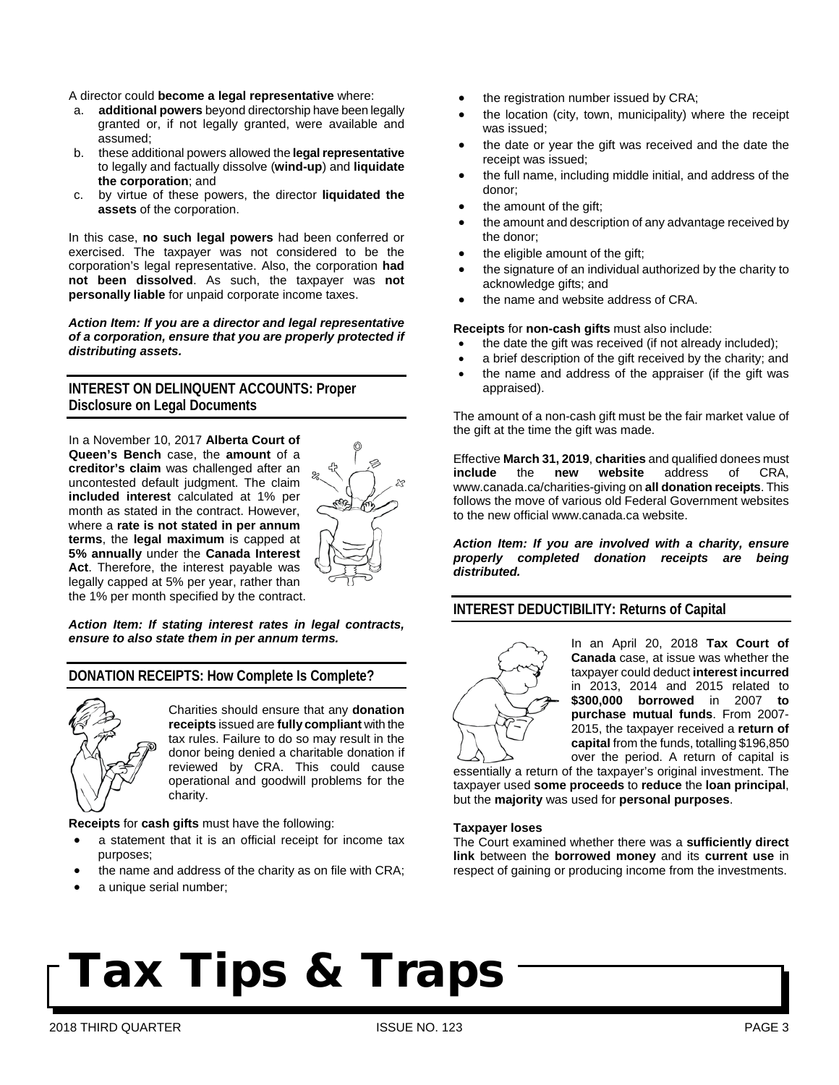#### A director could **become a legal representative** where:

- a. **additional powers** beyond directorship have been legally granted or, if not legally granted, were available and assumed;
- b. these additional powers allowed the **legal representative** to legally and factually dissolve (**wind-up**) and **liquidate the corporation**; and
- c. by virtue of these powers, the director **liquidated the assets** of the corporation.

In this case, **no such legal powers** had been conferred or exercised. The taxpayer was not considered to be the corporation's legal representative. Also, the corporation **had not been dissolved**. As such, the taxpayer was **not personally liable** for unpaid corporate income taxes.

*Action Item: If you are a director and legal representative of a corporation, ensure that you are properly protected if distributing assets.* 

## **INTEREST ON DELINQUENT ACCOUNTS: Proper Disclosure on Legal Documents**

In a November 10, 2017 **Alberta Court of Queen's Bench** case, the **amount** of a **creditor's claim** was challenged after an uncontested default judgment. The claim **included interest** calculated at 1% per month as stated in the contract. However, where a **rate is not stated in per annum terms**, the **legal maximum** is capped at **5% annually** under the **Canada Interest Act**. Therefore, the interest payable was legally capped at 5% per year, rather than the 1% per month specified by the contract.



#### *Action Item: If stating interest rates in legal contracts, ensure to also state them in per annum terms.*

### **DONATION RECEIPTS: How Complete Is Complete?**



Charities should ensure that any **donation receipts** issued are **fully compliant** with the tax rules. Failure to do so may result in the donor being denied a charitable donation if reviewed by CRA. This could cause operational and goodwill problems for the charity.

#### **Receipts** for **cash gifts** must have the following:

- a statement that it is an official receipt for income tax purposes;
- the name and address of the charity as on file with CRA;
- a unique serial number;
- the registration number issued by CRA;
- the location (city, town, municipality) where the receipt was issued;
- the date or year the gift was received and the date the receipt was issued;
- the full name, including middle initial, and address of the donor;
- the amount of the gift:
- the amount and description of an[y advantage](https://www.canada.ca/en/revenue-agency/services/charities-giving/charities/charities-giving-glossary.html#advantage) received by the donor;
- the [eligible amount of the gift;](https://www.canada.ca/en/revenue-agency/services/charities-giving/charities/charities-giving-glossary.html#eligamt)
- the signature of an individual authorized by the charity to acknowledge gifts; and
- the name and website address of CRA.

#### **Receipts** for **non-cash gifts** must also include:

- the date the gift was received (if not already included);
- a brief description of the gift received by the charity; and
- the name and address of the appraiser (if the gift was appraised).

The amount of a non-cash gift must be the fair market value of the gift at the time the gift was made.

Effective **March 31, 2019**, **charities** and qualified donees must **include** the **new website** address of CRA, [www.canada.ca/charities-giving](http://www.canada.ca/charities-giving) on **all donation receipts**. This follows the move of various old Federal Government websites to the new official [www.canada.ca](http://www.canada.ca/) website.

*Action Item: If you are involved with a charity, ensure properly completed donation receipts are being distributed.*

## **INTEREST DEDUCTIBILITY: Returns of Capital**



In an April 20, 2018 **Tax Court of Canada** case, at issue was whether the taxpayer could deduct **interest incurred** in 2013, 2014 and 2015 related to **\$300,000 borrowed** in 2007 **to purchase mutual funds**. From 2007- 2015, the taxpayer received a **return of capital** from the funds, totalling \$196,850 over the period. A return of capital is

essentially a return of the taxpayer's original investment. The taxpayer used **some proceeds** to **reduce** the **loan principal**, but the **majority** was used for **personal purposes**.

#### **Taxpayer loses**

The Court examined whether there was a **sufficiently direct link** between the **borrowed money** and its **current use** in respect of gaining or producing income from the investments.